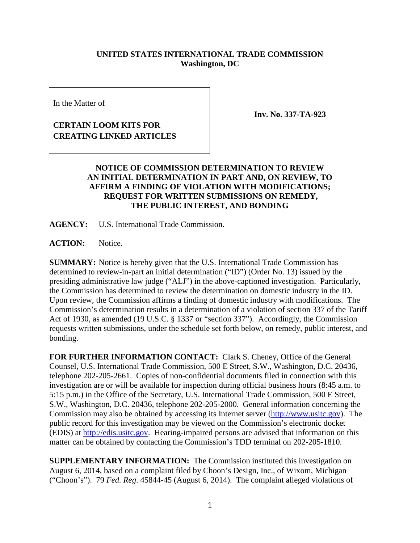## **UNITED STATES INTERNATIONAL TRADE COMMISSION Washington, DC**

In the Matter of

## **CERTAIN LOOM KITS FOR CREATING LINKED ARTICLES**

**Inv. No. 337-TA-923**

## **NOTICE OF COMMISSION DETERMINATION TO REVIEW AN INITIAL DETERMINATION IN PART AND, ON REVIEW, TO AFFIRM A FINDING OF VIOLATION WITH MODIFICATIONS; REQUEST FOR WRITTEN SUBMISSIONS ON REMEDY, THE PUBLIC INTEREST, AND BONDING**

**AGENCY:** U.S. International Trade Commission.

ACTION: Notice.

**SUMMARY:** Notice is hereby given that the U.S. International Trade Commission has determined to review-in-part an initial determination ("ID") (Order No. 13) issued by the presiding administrative law judge ("ALJ") in the above-captioned investigation. Particularly, the Commission has determined to review the determination on domestic industry in the ID. Upon review, the Commission affirms a finding of domestic industry with modifications. The Commission's determination results in a determination of a violation of section 337 of the Tariff Act of 1930, as amended (19 U.S.C. § 1337 or "section 337"). Accordingly, the Commission requests written submissions, under the schedule set forth below, on remedy, public interest, and bonding.

**FOR FURTHER INFORMATION CONTACT:** Clark S. Cheney, Office of the General Counsel, U.S. International Trade Commission, 500 E Street, S.W., Washington, D.C. 20436, telephone 202-205-2661. Copies of non-confidential documents filed in connection with this investigation are or will be available for inspection during official business hours (8:45 a.m. to 5:15 p.m.) in the Office of the Secretary, U.S. International Trade Commission, 500 E Street, S.W., Washington, D.C. 20436, telephone 202-205-2000. General information concerning the Commission may also be obtained by accessing its Internet server [\(http://www.usitc.gov\)](http://www.usitc.gov/). The public record for this investigation may be viewed on the Commission's electronic docket (EDIS) at [http://edis.usitc.gov.](http://edis.usitc.gov/) Hearing-impaired persons are advised that information on this matter can be obtained by contacting the Commission's TDD terminal on 202-205-1810.

**SUPPLEMENTARY INFORMATION:** The Commission instituted this investigation on August 6, 2014, based on a complaint filed by Choon's Design, Inc., of Wixom, Michigan ("Choon's"). 79 *Fed. Reg*. 45844-45 (August 6, 2014). The complaint alleged violations of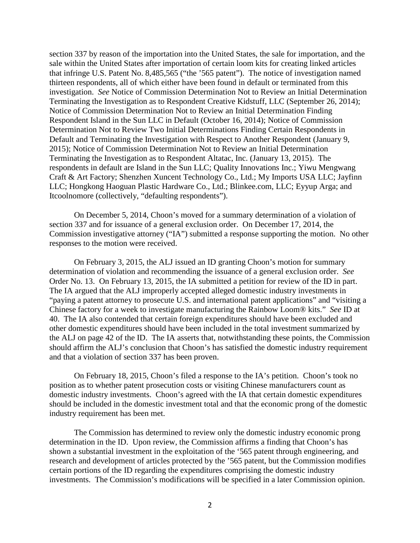section 337 by reason of the importation into the United States, the sale for importation, and the sale within the United States after importation of certain loom kits for creating linked articles that infringe U.S. Patent No. 8,485,565 ("the '565 patent"). The notice of investigation named thirteen respondents, all of which either have been found in default or terminated from this investigation. *See* Notice of Commission Determination Not to Review an Initial Determination Terminating the Investigation as to Respondent Creative Kidstuff, LLC (September 26, 2014); Notice of Commission Determination Not to Review an Initial Determination Finding Respondent Island in the Sun LLC in Default (October 16, 2014); Notice of Commission Determination Not to Review Two Initial Determinations Finding Certain Respondents in Default and Terminating the Investigation with Respect to Another Respondent (January 9, 2015); Notice of Commission Determination Not to Review an Initial Determination Terminating the Investigation as to Respondent Altatac, Inc. (January 13, 2015). The respondents in default are Island in the Sun LLC; Quality Innovations Inc.; Yiwu Mengwang Craft & Art Factory; Shenzhen Xuncent Technology Co., Ltd.; My Imports USA LLC; Jayfinn LLC; Hongkong Haoguan Plastic Hardware Co., Ltd.; Blinkee.com, LLC; Eyyup Arga; and Itcoolnomore (collectively, "defaulting respondents").

On December 5, 2014, Choon's moved for a summary determination of a violation of section 337 and for issuance of a general exclusion order. On December 17, 2014, the Commission investigative attorney ("IA") submitted a response supporting the motion. No other responses to the motion were received.

On February 3, 2015, the ALJ issued an ID granting Choon's motion for summary determination of violation and recommending the issuance of a general exclusion order. *See* Order No. 13. On February 13, 2015, the IA submitted a petition for review of the ID in part. The IA argued that the ALJ improperly accepted alleged domestic industry investments in "paying a patent attorney to prosecute U.S. and international patent applications" and "visiting a Chinese factory for a week to investigate manufacturing the Rainbow Loom® kits." *See* ID at 40. The IA also contended that certain foreign expenditures should have been excluded and other domestic expenditures should have been included in the total investment summarized by the ALJ on page 42 of the ID. The IA asserts that, notwithstanding these points, the Commission should affirm the ALJ's conclusion that Choon's has satisfied the domestic industry requirement and that a violation of section 337 has been proven.

On February 18, 2015, Choon's filed a response to the IA's petition. Choon's took no position as to whether patent prosecution costs or visiting Chinese manufacturers count as domestic industry investments. Choon's agreed with the IA that certain domestic expenditures should be included in the domestic investment total and that the economic prong of the domestic industry requirement has been met.

The Commission has determined to review only the domestic industry economic prong determination in the ID. Upon review, the Commission affirms a finding that Choon's has shown a substantial investment in the exploitation of the '565 patent through engineering, and research and development of articles protected by the '565 patent, but the Commission modifies certain portions of the ID regarding the expenditures comprising the domestic industry investments. The Commission's modifications will be specified in a later Commission opinion.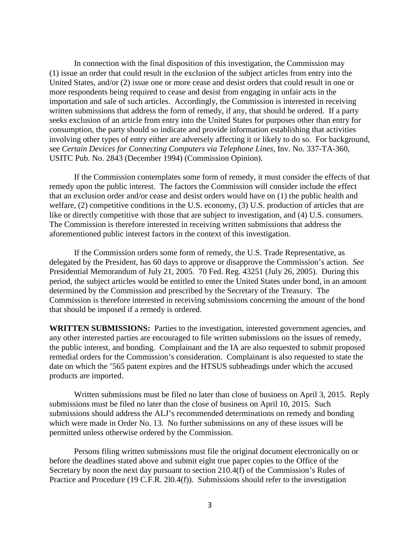In connection with the final disposition of this investigation, the Commission may (1) issue an order that could result in the exclusion of the subject articles from entry into the United States, and/or (2) issue one or more cease and desist orders that could result in one or more respondents being required to cease and desist from engaging in unfair acts in the importation and sale of such articles. Accordingly, the Commission is interested in receiving written submissions that address the form of remedy, if any, that should be ordered. If a party seeks exclusion of an article from entry into the United States for purposes other than entry for consumption, the party should so indicate and provide information establishing that activities involving other types of entry either are adversely affecting it or likely to do so. For background, see *Certain Devices for Connecting Computers via Telephone Lines*, Inv. No. 337-TA-360, USITC Pub. No. 2843 (December 1994) (Commission Opinion).

If the Commission contemplates some form of remedy, it must consider the effects of that remedy upon the public interest. The factors the Commission will consider include the effect that an exclusion order and/or cease and desist orders would have on (1) the public health and welfare, (2) competitive conditions in the U.S. economy, (3) U.S. production of articles that are like or directly competitive with those that are subject to investigation, and (4) U.S. consumers. The Commission is therefore interested in receiving written submissions that address the aforementioned public interest factors in the context of this investigation.

If the Commission orders some form of remedy, the U.S. Trade Representative, as delegated by the President, has 60 days to approve or disapprove the Commission's action. *See* Presidential Memorandum of July 21, 2005. 70 Fed. Reg. 43251 (July 26, 2005). During this period, the subject articles would be entitled to enter the United States under bond, in an amount determined by the Commission and prescribed by the Secretary of the Treasury. The Commission is therefore interested in receiving submissions concerning the amount of the bond that should be imposed if a remedy is ordered.

**WRITTEN SUBMISSIONS:** Parties to the investigation, interested government agencies, and any other interested parties are encouraged to file written submissions on the issues of remedy, the public interest, and bonding. Complainant and the IA are also requested to submit proposed remedial orders for the Commission's consideration. Complainant is also requested to state the date on which the '565 patent expires and the HTSUS subheadings under which the accused products are imported.

Written submissions must be filed no later than close of business on April 3, 2015. Reply submissions must be filed no later than the close of business on April 10, 2015. Such submissions should address the ALJ's recommended determinations on remedy and bonding which were made in Order No. 13. No further submissions on any of these issues will be permitted unless otherwise ordered by the Commission.

Persons filing written submissions must file the original document electronically on or before the deadlines stated above and submit eight true paper copies to the Office of the Secretary by noon the next day pursuant to section 210.4(f) of the Commission's Rules of Practice and Procedure (19 C.F.R. 2l0.4(f)). Submissions should refer to the investigation